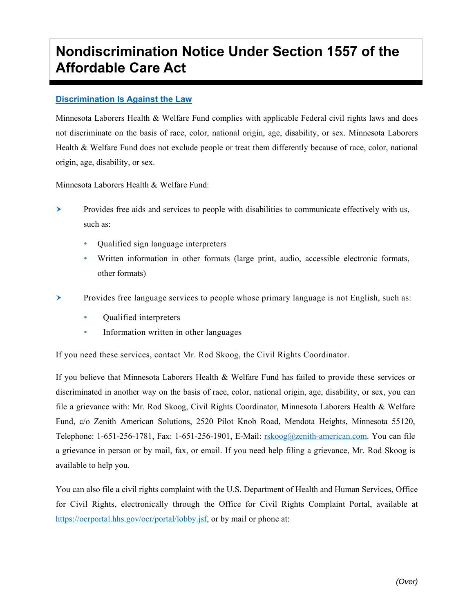## **Nondiscrimination Notice Under Section 1557 of the Affordable Care Act**

## **Discrimination Is Against the Law**

Minnesota Laborers Health & Welfare Fund complies with applicable Federal civil rights laws and does not discriminate on the basis of race, color, national origin, age, disability, or sex. Minnesota Laborers Health & Welfare Fund does not exclude people or treat them differently because of race, color, national origin, age, disability, or sex.

Minnesota Laborers Health & Welfare Fund:

- $\triangleright$  Provides free aids and services to people with disabilities to communicate effectively with us, such as:
	- Qualified sign language interpreters
	- Written information in other formats (large print, audio, accessible electronic formats, other formats)
- Provides free language services to people whose primary language is not English, such as:
	- Qualified interpreters
	- **Information written in other languages**

If you need these services, contact Mr. Rod Skoog, the Civil Rights Coordinator.

If you believe that Minnesota Laborers Health & Welfare Fund has failed to provide these services or discriminated in another way on the basis of race, color, national origin, age, disability, or sex, you can file a grievance with: Mr. Rod Skoog, Civil Rights Coordinator, Minnesota Laborers Health & Welfare Fund, c/o Zenith American Solutions, 2520 Pilot Knob Road, Mendota Heights, Minnesota 55120, Telephone: 1-651-256-1781, Fax: 1-651-256-1901, E-Mail: rskoog@zenith-american.com. You can file a grievance in person or by mail, fax, or email. If you need help filing a grievance, Mr. Rod Skoog is available to help you.

You can also file a civil rights complaint with the U.S. Department of Health and Human Services, Office for Civil Rights, electronically through the Office for Civil Rights Complaint Portal, available at https://ocrportal.hhs.gov/ocr/portal/lobby.jsf, or by mail or phone at: